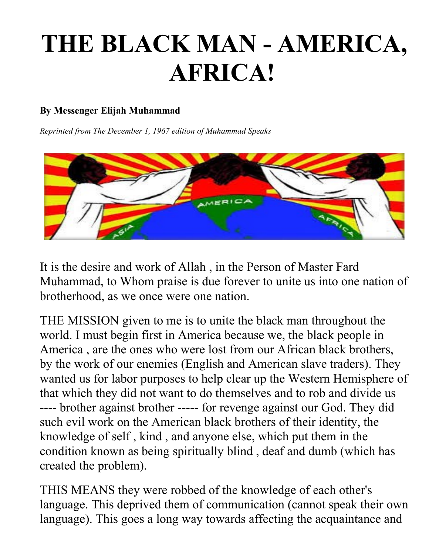## **THE BLACK MAN - AMERICA, AFRICA!**

## **By Messenger Elijah Muhammad**

*Reprinted from The December 1, 1967 edition of Muhammad Speaks*



It is the desire and work of Allah , in the Person of Master Fard Muhammad, to Whom praise is due forever to unite us into one nation of brotherhood, as we once were one nation.

THE MISSION given to me is to unite the black man throughout the world. I must begin first in America because we, the black people in America , are the ones who were lost from our African black brothers, by the work of our enemies (English and American slave traders). They wanted us for labor purposes to help clear up the Western Hemisphere of that which they did not want to do themselves and to rob and divide us ---- brother against brother ----- for revenge against our God. They did such evil work on the American black brothers of their identity, the knowledge of self , kind , and anyone else, which put them in the condition known as being spiritually blind , deaf and dumb (which has created the problem).

THIS MEANS they were robbed of the knowledge of each other's language. This deprived them of communication (cannot speak their own language). This goes a long way towards affecting the acquaintance and